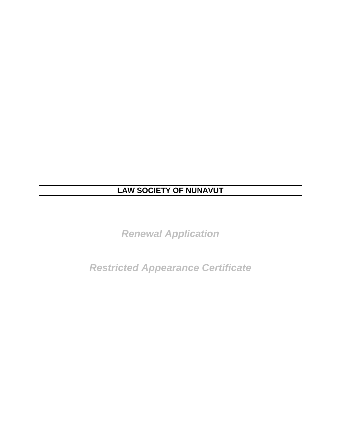# **LAW SOCIETY OF NUNAVUT**

*Renewal Application* 

*Restricted Appearance Certificate*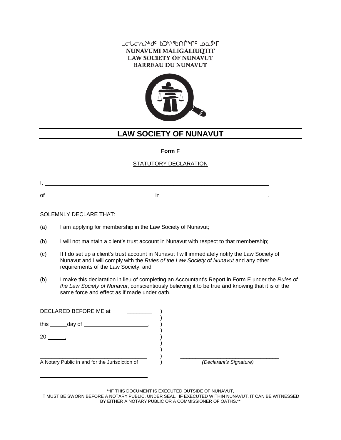#### LCLCNAPGE bJASbULALE DQSL NUNAVUMI MALIGALIUQTIT **LAW SOCIETY OF NUNAVUT BARREAU DU NUNAVUT**



# **LAW SOCIETY OF NUNAVUT**

#### **Form F**

### STATUTORY DECLARATION

#### SOLEMNLY DECLARE THAT:

\_\_\_\_\_\_\_\_\_\_\_\_\_\_\_\_\_\_\_\_\_\_\_\_\_\_\_\_\_\_\_\_\_\_\_

- (a) I am applying for membership in the Law Society of Nunavut;
- (b) I will not maintain a client's trust account in Nunavut with respect to that membership;
- (c) If I do set up a client's trust account in Nunavut I will immediately notify the Law Society of Nunavut and I will comply with the *Rules of the Law Society of Nunavut* and any other requirements of the Law Society; and
- (b) I make this declaration in lieu of completing an Accountant's Report in Form E under the *Rules of the Law Society of Nunavut*, conscientiously believing it to be true and knowing that it is of the same force and effect as if made under oath.

| DECLARED BEFORE ME at                          |                         |
|------------------------------------------------|-------------------------|
| this day of                                    |                         |
| 20                                             |                         |
|                                                |                         |
| A Notary Public in and for the Jurisdiction of | (Declarant's Signature) |

\*\*IF THIS DOCUMENT IS EXECUTED OUTSIDE OF NUNAVUT,

IT MUST BE SWORN BEFORE A NOTARY PUBLIC, UNDER SEAL. IF EXECUTED WITHIN NUNAVUT, IT CAN BE WITNESSED BY EITHER A NOTARY PUBLIC OR A COMMISSIONER OF OATHS.\*\*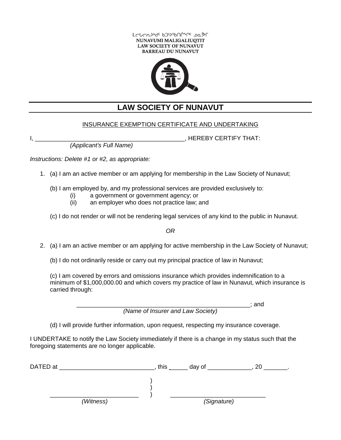



# **LAW SOCIETY OF NUNAVUT**

### INSURANCE EXEMPTION CERTIFICATE AND UNDERTAKING

, HEREBY CERTIFY THAT:

*(Applicant's Full Name)*

*Instructions: Delete #1 or #2, as appropriate:*

- 1. (a) I am an active member or am applying for membership in the Law Society of Nunavut;
	- (b) I am employed by, and my professional services are provided exclusively to:
		- (i) a government or government agency; or
		- (ii) an employer who does not practice law; and
	- (c) I do not render or will not be rendering legal services of any kind to the public in Nunavut.

*OR*

- 2. (a) I am an active member or am applying for active membership in the Law Society of Nunavut;
	- (b) I do not ordinarily reside or carry out my principal practice of law in Nunavut;

(c) I am covered by errors and omissions insurance which provides indemnification to a minimum of \$1,000,000.00 and which covers my practice of law in Nunavut, which insurance is carried through:

> \_\_\_\_\_\_\_\_\_\_\_\_\_\_\_\_\_\_\_\_\_\_\_\_\_\_\_\_\_\_\_\_\_\_\_\_\_\_\_\_\_\_\_\_\_\_\_\_\_\_\_; and *(Name of Insurer and Law Society)*

(d) I will provide further information, upon request, respecting my insurance coverage.

I UNDERTAKE to notify the Law Society immediately if there is a change in my status such that the foregoing statements are no longer applicable.

| DATED at |           | this | day of      | ንቦ<br>۷J |  |  |
|----------|-----------|------|-------------|----------|--|--|
|          |           |      |             |          |  |  |
|          |           |      |             |          |  |  |
|          | (Witness) |      | (Signature) |          |  |  |